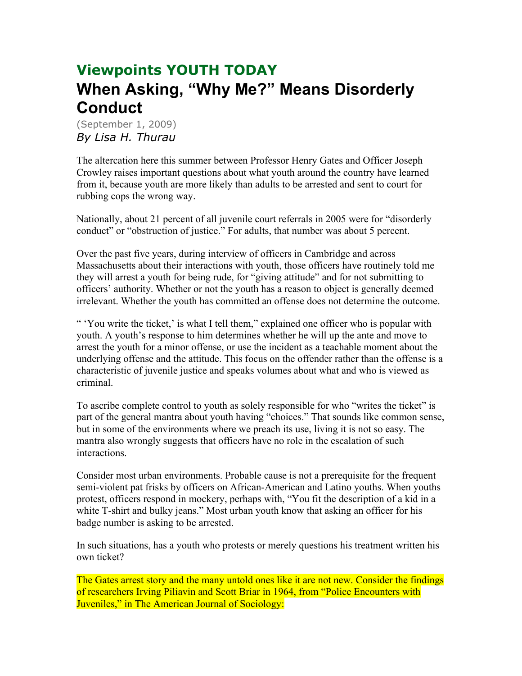## **Viewpoints YOUTH TODAY When Asking, "Why Me?" Means Disorderly Conduct**

(September 1, 2009) *By Lisa H. Thurau*

The altercation here this summer between Professor Henry Gates and Officer Joseph Crowley raises important questions about what youth around the country have learned from it, because youth are more likely than adults to be arrested and sent to court for rubbing cops the wrong way.

Nationally, about 21 percent of all juvenile court referrals in 2005 were for "disorderly conduct" or "obstruction of justice." For adults, that number was about 5 percent.

Over the past five years, during interview of officers in Cambridge and across Massachusetts about their interactions with youth, those officers have routinely told me they will arrest a youth for being rude, for "giving attitude" and for not submitting to officers' authority. Whether or not the youth has a reason to object is generally deemed irrelevant. Whether the youth has committed an offense does not determine the outcome.

" 'You write the ticket,' is what I tell them," explained one officer who is popular with youth. A youth's response to him determines whether he will up the ante and move to arrest the youth for a minor offense, or use the incident as a teachable moment about the underlying offense and the attitude. This focus on the offender rather than the offense is a characteristic of juvenile justice and speaks volumes about what and who is viewed as criminal.

To ascribe complete control to youth as solely responsible for who "writes the ticket" is part of the general mantra about youth having "choices." That sounds like common sense, but in some of the environments where we preach its use, living it is not so easy. The mantra also wrongly suggests that officers have no role in the escalation of such interactions.

Consider most urban environments. Probable cause is not a prerequisite for the frequent semi-violent pat frisks by officers on African-American and Latino youths. When youths protest, officers respond in mockery, perhaps with, "You fit the description of a kid in a white T-shirt and bulky jeans." Most urban youth know that asking an officer for his badge number is asking to be arrested.

In such situations, has a youth who protests or merely questions his treatment written his own ticket?

The Gates arrest story and the many untold ones like it are not new. Consider the findings of researchers Irving Piliavin and Scott Briar in 1964, from "Police Encounters with Juveniles," in The American Journal of Sociology: